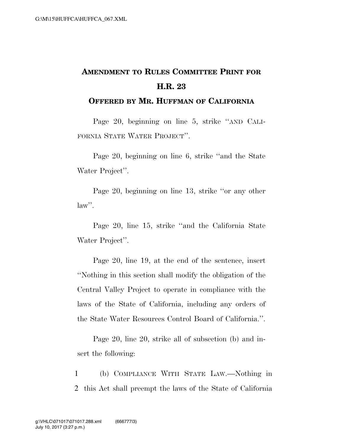## **AMENDMENT TO RULES COMMITTEE PRINT FOR H.R. 23**

**OFFERED BY MR. HUFFMAN OF CALIFORNIA**

Page 20, beginning on line 5, strike ''AND CALI-FORNIA STATE WATER PROJECT''.

Page 20, beginning on line 6, strike ''and the State Water Project''.

Page 20, beginning on line 13, strike ''or any other law''.

Page 20, line 15, strike ''and the California State Water Project''.

Page 20, line 19, at the end of the sentence, insert ''Nothing in this section shall modify the obligation of the Central Valley Project to operate in compliance with the laws of the State of California, including any orders of the State Water Resources Control Board of California.''.

Page 20, line 20, strike all of subsection (b) and insert the following:

1 (b) COMPLIANCE WITH STATE LAW.—Nothing in 2 this Act shall preempt the laws of the State of California